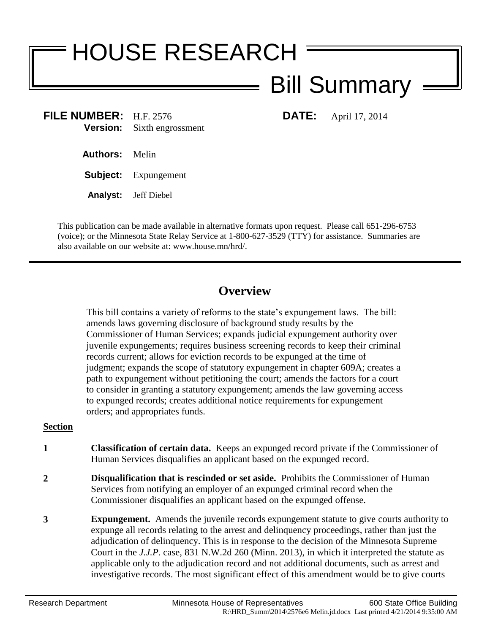# HOUSE RESEARCH

## Bill Summary

**FILE NUMBER:** H.F. 2576 **DATE:** April 17, 2014 **Version:** Sixth engrossment

**Authors:** Melin

**Subject:** Expungement

**Analyst:** Jeff Diebel

This publication can be made available in alternative formats upon request. Please call 651-296-6753 (voice); or the Minnesota State Relay Service at 1-800-627-3529 (TTY) for assistance. Summaries are also available on our website at: www.house.mn/hrd/.

### **Overview**

This bill contains a variety of reforms to the state's expungement laws. The bill: amends laws governing disclosure of background study results by the Commissioner of Human Services; expands judicial expungement authority over juvenile expungements; requires business screening records to keep their criminal records current; allows for eviction records to be expunged at the time of judgment; expands the scope of statutory expungement in chapter 609A; creates a path to expungement without petitioning the court; amends the factors for a court to consider in granting a statutory expungement; amends the law governing access to expunged records; creates additional notice requirements for expungement orders; and appropriates funds.

#### **Section**

- **1 Classification of certain data.** Keeps an expunged record private if the Commissioner of Human Services disqualifies an applicant based on the expunged record.
- **2 Disqualification that is rescinded or set aside.** Prohibits the Commissioner of Human Services from notifying an employer of an expunged criminal record when the Commissioner disqualifies an applicant based on the expunged offense.
- **3 Expungement.** Amends the juvenile records expungement statute to give courts authority to expunge all records relating to the arrest and delinquency proceedings, rather than just the adjudication of delinquency. This is in response to the decision of the Minnesota Supreme Court in the *J.J.P.* case, 831 N.W.2d 260 (Minn. 2013), in which it interpreted the statute as applicable only to the adjudication record and not additional documents, such as arrest and investigative records. The most significant effect of this amendment would be to give courts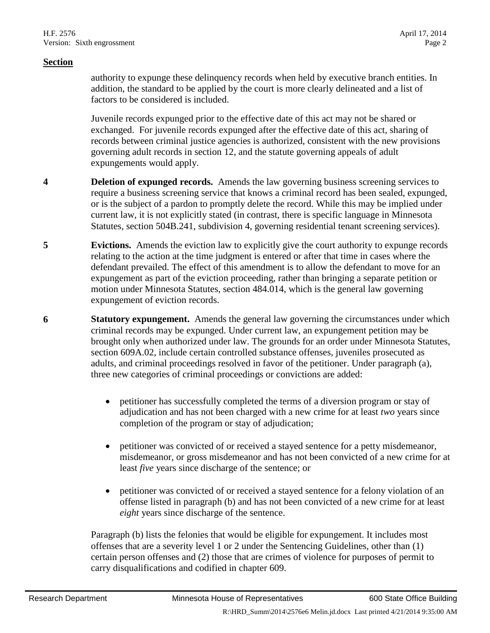#### **Section**

authority to expunge these delinquency records when held by executive branch entities. In addition, the standard to be applied by the court is more clearly delineated and a list of factors to be considered is included.

Juvenile records expunged prior to the effective date of this act may not be shared or exchanged. For juvenile records expunged after the effective date of this act, sharing of records between criminal justice agencies is authorized, consistent with the new provisions governing adult records in section 12, and the statute governing appeals of adult expungements would apply.

- **4 Deletion of expunged records.** Amends the law governing business screening services to require a business screening service that knows a criminal record has been sealed, expunged, or is the subject of a pardon to promptly delete the record. While this may be implied under current law, it is not explicitly stated (in contrast, there is specific language in Minnesota Statutes, section 504B.241, subdivision 4, governing residential tenant screening services).
- **5 Evictions.** Amends the eviction law to explicitly give the court authority to expunge records relating to the action at the time judgment is entered or after that time in cases where the defendant prevailed. The effect of this amendment is to allow the defendant to move for an expungement as part of the eviction proceeding, rather than bringing a separate petition or motion under Minnesota Statutes, section 484.014, which is the general law governing expungement of eviction records.
- **6 Statutory expungement.** Amends the general law governing the circumstances under which criminal records may be expunged. Under current law, an expungement petition may be brought only when authorized under law. The grounds for an order under Minnesota Statutes, section 609A.02, include certain controlled substance offenses, juveniles prosecuted as adults, and criminal proceedings resolved in favor of the petitioner. Under paragraph (a), three new categories of criminal proceedings or convictions are added:
	- petitioner has successfully completed the terms of a diversion program or stay of adjudication and has not been charged with a new crime for at least *two* years since completion of the program or stay of adjudication;
	- petitioner was convicted of or received a stayed sentence for a petty misdemeanor, misdemeanor, or gross misdemeanor and has not been convicted of a new crime for at least *five* years since discharge of the sentence; or
	- petitioner was convicted of or received a stayed sentence for a felony violation of an offense listed in paragraph (b) and has not been convicted of a new crime for at least *eight* years since discharge of the sentence.

Paragraph (b) lists the felonies that would be eligible for expungement. It includes most offenses that are a severity level 1 or 2 under the Sentencing Guidelines, other than (1) certain person offenses and (2) those that are crimes of violence for purposes of permit to carry disqualifications and codified in chapter 609.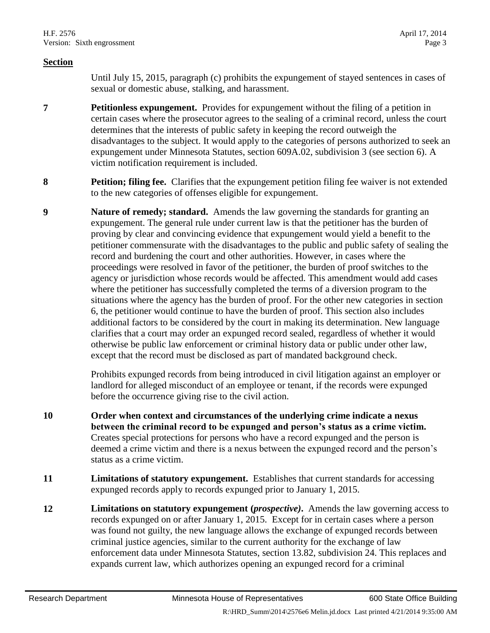#### **Section**

Until July 15, 2015, paragraph (c) prohibits the expungement of stayed sentences in cases of sexual or domestic abuse, stalking, and harassment.

- **7 Petitionless expungement.** Provides for expungement without the filing of a petition in certain cases where the prosecutor agrees to the sealing of a criminal record, unless the court determines that the interests of public safety in keeping the record outweigh the disadvantages to the subject. It would apply to the categories of persons authorized to seek an expungement under Minnesota Statutes, section 609A.02, subdivision 3 (see section 6). A victim notification requirement is included.
- **8 Petition; filing fee.** Clarifies that the expungement petition filing fee waiver is not extended to the new categories of offenses eligible for expungement.
- **9 Nature of remedy; standard.** Amends the law governing the standards for granting an expungement. The general rule under current law is that the petitioner has the burden of proving by clear and convincing evidence that expungement would yield a benefit to the petitioner commensurate with the disadvantages to the public and public safety of sealing the record and burdening the court and other authorities. However, in cases where the proceedings were resolved in favor of the petitioner, the burden of proof switches to the agency or jurisdiction whose records would be affected. This amendment would add cases where the petitioner has successfully completed the terms of a diversion program to the situations where the agency has the burden of proof. For the other new categories in section 6, the petitioner would continue to have the burden of proof. This section also includes additional factors to be considered by the court in making its determination. New language clarifies that a court may order an expunged record sealed, regardless of whether it would otherwise be public law enforcement or criminal history data or public under other law, except that the record must be disclosed as part of mandated background check.

Prohibits expunged records from being introduced in civil litigation against an employer or landlord for alleged misconduct of an employee or tenant, if the records were expunged before the occurrence giving rise to the civil action.

- **10 Order when context and circumstances of the underlying crime indicate a nexus between the criminal record to be expunged and person's status as a crime victim.** Creates special protections for persons who have a record expunged and the person is deemed a crime victim and there is a nexus between the expunged record and the person's status as a crime victim.
- **11 Limitations of statutory expungement.** Establishes that current standards for accessing expunged records apply to records expunged prior to January 1, 2015.
- **12 Limitations on statutory expungement (***prospective)***.** Amends the law governing access to records expunged on or after January 1, 2015. Except for in certain cases where a person was found not guilty, the new language allows the exchange of expunged records between criminal justice agencies, similar to the current authority for the exchange of law enforcement data under Minnesota Statutes, section 13.82, subdivision 24. This replaces and expands current law, which authorizes opening an expunged record for a criminal